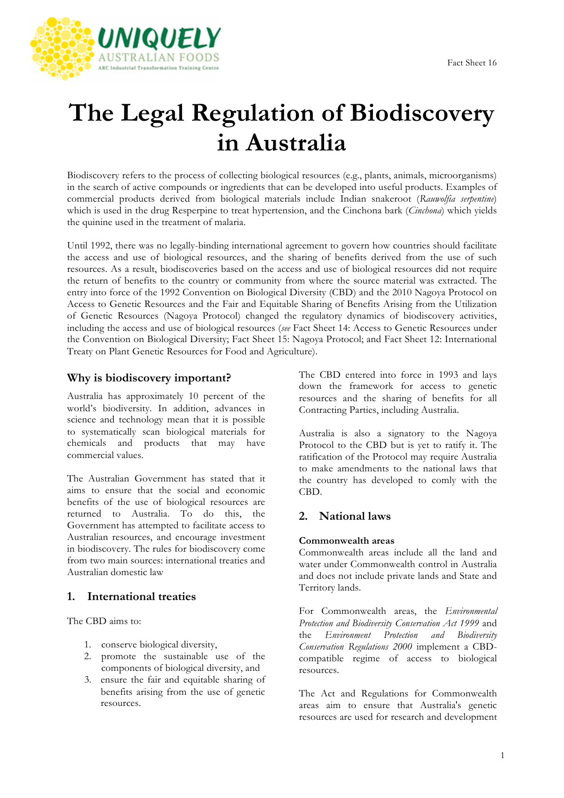

# **The Legal Regulation of Biodiscovery in Australia**

Biodiscovery refers to the process of collecting biological resources (e.g., plants, animals, microorganisms) in the search of active compounds or ingredients that can be developed into useful products. Examples of commercial products derived from biological materials include Indian snakeroot (*Rauwolfia serpentine*) which is used in the drug Resperpine to treat hypertension, and the Cinchona bark (*Cinchona*) which yields the quinine used in the treatment of malaria.

Until 1992, there was no legally-binding international agreement to govern how countries should facilitate the access and use of biological resources, and the sharing of benefits derived from the use of such resources. As a result, biodiscoveries based on the access and use of biological resources did not require the return of benefits to the country or community from where the source material was extracted. The entry into force of the 1992 Convention on Biological Diversity (CBD) and the 2010 Nagoya Protocol on Access to Genetic Resources and the Fair and Equitable Sharing of Benefits Arising from the Utilization of Genetic Resources (Nagoya Protocol) changed the regulatory dynamics of biodiscovery activities, including the access and use of biological resources (*see* Fact Sheet 14: Access to Genetic Resources under the Convention on Biological Diversity; Fact Sheet 15: Nagoya Protocol; and Fact Sheet 12: International Treaty on Plant Genetic Resources for Food and Agriculture).

## **Why is biodiscovery important?**

Australia has approximately 10 percent of the world's biodiversity. In addition, advances in science and technology mean that it is possible to systematically scan biological materials for chemicals and products that may have commercial values.

The Australian Government has stated that it aims to ensure that the social and economic benefits of the use of biological resources are returned to Australia. To do this, the Government has attempted to facilitate access to Australian resources, and encourage investment in biodiscovery. The rules for biodiscovery come from two main sources: international treaties and Australian domestic law

## **1. International treaties**

The CBD aims to:

- 1. conserve biological diversity,
- 2. promote the sustainable use of the components of biological diversity, and
- 3. ensure the fair and equitable sharing of benefits arising from the use of genetic resources.

The CBD entered into force in 1993 and lays down the framework for access to genetic resources and the sharing of benefits for all Contracting Parties, including Australia.

Australia is also a signatory to the Nagoya Protocol to the CBD but is yet to ratify it. The ratification of the Protocol may require Australia to make amendments to the national laws that the country has developed to comly with the CBD.

## **2. National laws**

### **Commonwealth areas**

Commonwealth areas include all the land and water under Commonwealth control in Australia and does not include private lands and State and Territory lands.

For Commonwealth areas, the *Environmental Protection and Biodiversity Conservation Act 1999* and the *Environment Protection and Biodiversity Conservation Regulations 2000* implement a CBDcompatible regime of access to biological resources.

The Act and Regulations for Commonwealth areas aim to ensure that Australia's genetic resources are used for research and development